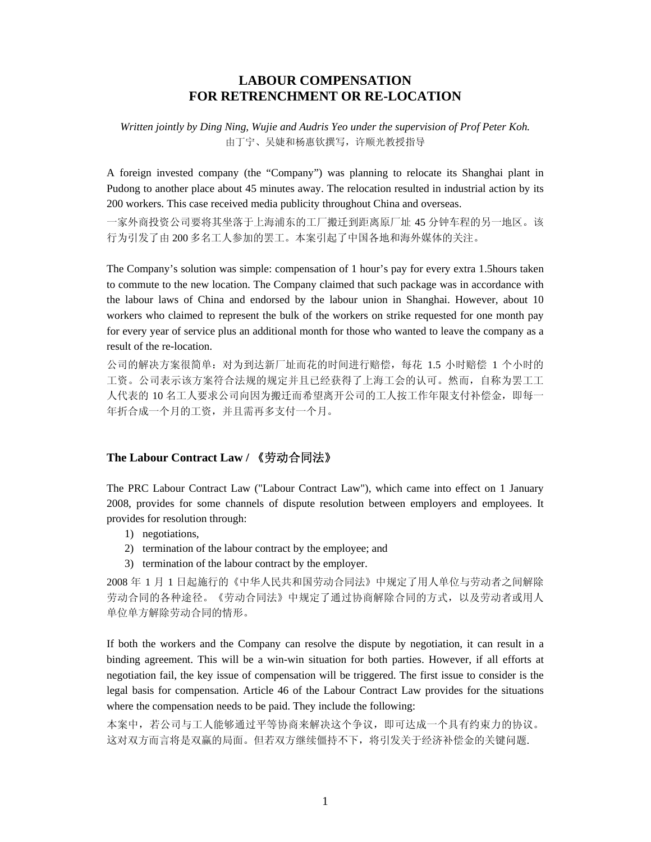# **LABOUR COMPENSATION FOR RETRENCHMENT OR RE-LOCATION**

*Written jointly by Ding Ning, Wujie and Audris Yeo under the supervision of Prof Peter Koh.*  由丁宁、吴婕和杨惠钦撰写,许顺光教授指导

A foreign invested company (the "Company") was planning to relocate its Shanghai plant in Pudong to another place about 45 minutes away. The relocation resulted in industrial action by its 200 workers. This case received media publicity throughout China and overseas.

一家外商投资公司要将其坐落于上海浦东的工厂搬迁到距离原厂址 45 分钟车程的另一地区。该 行为引发了由 200 多名工人参加的罢工。本案引起了中国各地和海外媒体的关注。

The Company's solution was simple: compensation of 1 hour's pay for every extra 1.5hours taken to commute to the new location. The Company claimed that such package was in accordance with the labour laws of China and endorsed by the labour union in Shanghai. However, about 10 workers who claimed to represent the bulk of the workers on strike requested for one month pay for every year of service plus an additional month for those who wanted to leave the company as a result of the re-location.

公司的解决方案很简单:对为到达新厂址而花的时间进行赔偿,每花 1.5 小时赔偿 1 个小时的 工资。公司表示该方案符合法规的规定并且已经获得了上海工会的认可。然而,自称为罢工工 人代表的 10 名工人要求公司向因为搬迁而希望离开公司的工人按工作年限支付补偿金,即每一 年折合成一个月的工资,并且需再多支付一个月。

### **The Labour Contract Law /** 《劳动合同法》

The PRC Labour Contract Law ("Labour Contract Law"), which came into effect on 1 January 2008, provides for some channels of dispute resolution between employers and employees. It provides for resolution through:

- 1) negotiations,
- 2) termination of the labour contract by the employee; and
- 3) termination of the labour contract by the employer.

2008 年 1 月 1 日起施行的《中华人民共和国劳动合同法》中规定了用人单位与劳动者之间解除 劳动合同的各种途径。《劳动合同法》中规定了通过协商解除合同的方式,以及劳动者或用人 单位单方解除劳动合同的情形。

If both the workers and the Company can resolve the dispute by negotiation, it can result in a binding agreement. This will be a win-win situation for both parties. However, if all efforts at negotiation fail, the key issue of compensation will be triggered. The first issue to consider is the legal basis for compensation. Article 46 of the Labour Contract Law provides for the situations where the compensation needs to be paid. They include the following:

本案中,若公司与工人能够通过平等协商来解决这个争议,即可达成一个具有约束力的协议。 这对双方而言将是双赢的局面。但若双方继续僵持不下,将引发关于经济补偿金的关键问题.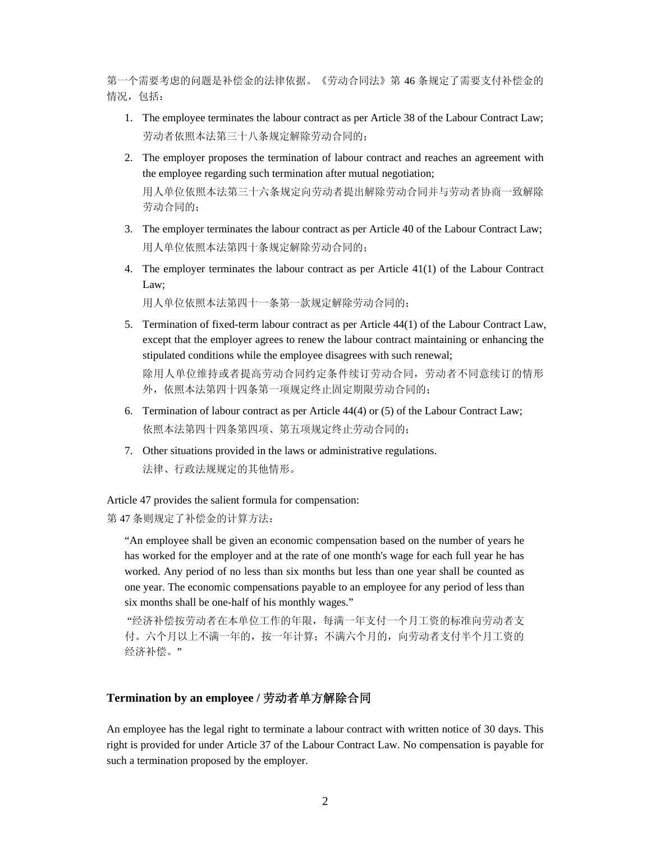第一个需要考虑的问题是补偿金的法律依据。《劳动合同法》第 46 条规定了需要支付补偿金的 情况, 包括:

- 1. The employee terminates the labour contract as per Article 38 of the Labour Contract Law; 劳动者依照本法第三十八条规定解除劳动合同的;
- 2. The employer proposes the termination of labour contract and reaches an agreement with the employee regarding such termination after mutual negotiation; 用人单位依照本法第三十六条规定向劳动者提出解除劳动合同并与劳动者协商一致解除 劳动合同的;
- 3. The employer terminates the labour contract as per Article 40 of the Labour Contract Law; 用人单位依照本法第四十条规定解除劳动合同的;
- 4. The employer terminates the labour contract as per Article 41(1) of the Labour Contract Law;

用人单位依照本法第四十一条第一款规定解除劳动合同的;

5. Termination of fixed-term labour contract as per Article 44(1) of the Labour Contract Law, except that the employer agrees to renew the labour contract maintaining or enhancing the stipulated conditions while the employee disagrees with such renewal;

除用人单位维持或者提高劳动合同约定条件续订劳动合同,劳动者不同意续订的情形 外,依照本法第四十四条第一项规定终止固定期限劳动合同的;

- 6. Termination of labour contract as per Article 44(4) or (5) of the Labour Contract Law; 依照本法第四十四条第四项、第五项规定终止劳动合同的;
- 7. Other situations provided in the laws or administrative regulations. 法律、行政法规规定的其他情形。

Article 47 provides the salient formula for compensation:

第 47 条则规定了补偿金的计算方法:

"An employee shall be given an economic compensation based on the number of years he has worked for the employer and at the rate of one month's wage for each full year he has worked. Any period of no less than six months but less than one year shall be counted as one year. The economic compensations payable to an employee for any period of less than six months shall be one-half of his monthly wages."

 "经济补偿按劳动者在本单位工作的年限,每满一年支付一个月工资的标准向劳动者支 付。六个月以上不满一年的,按一年计算;不满六个月的,向劳动者支付半个月工资的 经济补偿。"

## **Termination by an employee /** 劳动者单方解除合同

An employee has the legal right to terminate a labour contract with written notice of 30 days. This right is provided for under Article 37 of the Labour Contract Law. No compensation is payable for such a termination proposed by the employer.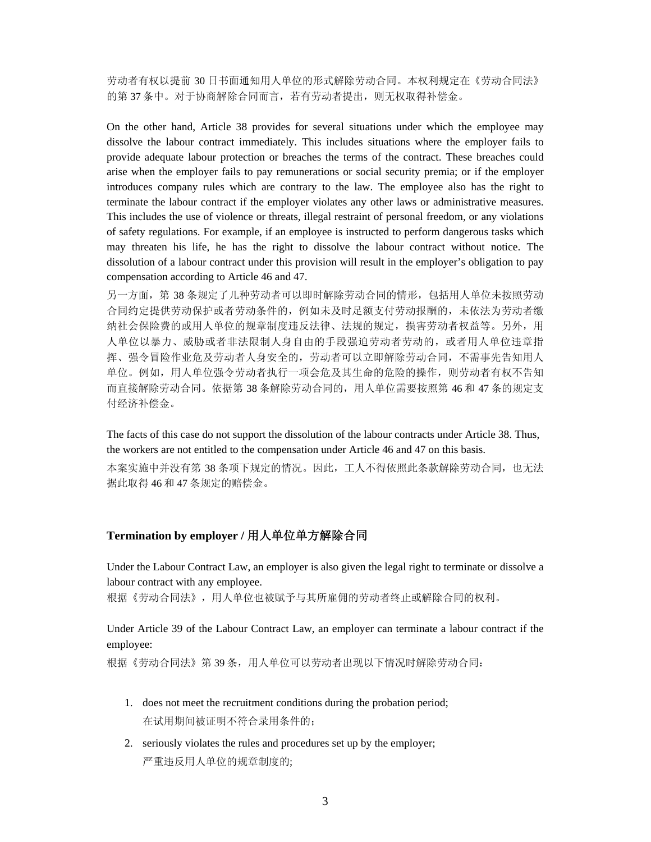劳动者有权以提前 30 日书面通知用人单位的形式解除劳动合同。本权利规定在《劳动合同法》 的第 37 条中。对于协商解除合同而言,若有劳动者提出,则无权取得补偿金。

On the other hand, Article 38 provides for several situations under which the employee may dissolve the labour contract immediately. This includes situations where the employer fails to provide adequate labour protection or breaches the terms of the contract. These breaches could arise when the employer fails to pay remunerations or social security premia; or if the employer introduces company rules which are contrary to the law. The employee also has the right to terminate the labour contract if the employer violates any other laws or administrative measures. This includes the use of violence or threats, illegal restraint of personal freedom, or any violations of safety regulations. For example, if an employee is instructed to perform dangerous tasks which may threaten his life, he has the right to dissolve the labour contract without notice. The dissolution of a labour contract under this provision will result in the employer's obligation to pay compensation according to Article 46 and 47.

另一方面,第 38 条规定了几种劳动者可以即时解除劳动合同的情形,包括用人单位未按照劳动 合同约定提供劳动保护或者劳动条件的,例如未及时足额支付劳动报酬的,未依法为劳动者缴 纳社会保险费的或用人单位的规章制度违反法律、法规的规定,损害劳动者权益等。另外,用 人单位以暴力、威胁或者非法限制人身自由的手段强迫劳动者劳动的,或者用人单位违章指 挥、强令冒险作业危及劳动者人身安全的,劳动者可以立即解除劳动合同,不需事先告知用人 单位。例如,用人单位强令劳动者执行一项会危及其生命的危险的操作,则劳动者有权不告知 而直接解除劳动合同。依据第 38 条解除劳动合同的,用人单位需要按照第 46 和 47 条的规定支 付经济补偿金。

The facts of this case do not support the dissolution of the labour contracts under Article 38. Thus, the workers are not entitled to the compensation under Article 46 and 47 on this basis.

本案实施中并没有第 38 条项下规定的情况。因此,工人不得依照此条款解除劳动合同,也无法 据此取得 46 和 47 条规定的赔偿金。

### **Termination by employer /** 用人单位单方解除合同

Under the Labour Contract Law, an employer is also given the legal right to terminate or dissolve a labour contract with any employee.

根据《劳动合同法》,用人单位也被赋予与其所雇佣的劳动者终止或解除合同的权利。

Under Article 39 of the Labour Contract Law, an employer can terminate a labour contract if the employee:

根据《劳动合同法》第 39 条,用人单位可以劳动者出现以下情况时解除劳动合同:

- 1. does not meet the recruitment conditions during the probation period; 在试用期间被证明不符合录用条件的;
- 2. seriously violates the rules and procedures set up by the employer; 严重违反用人单位的规章制度的;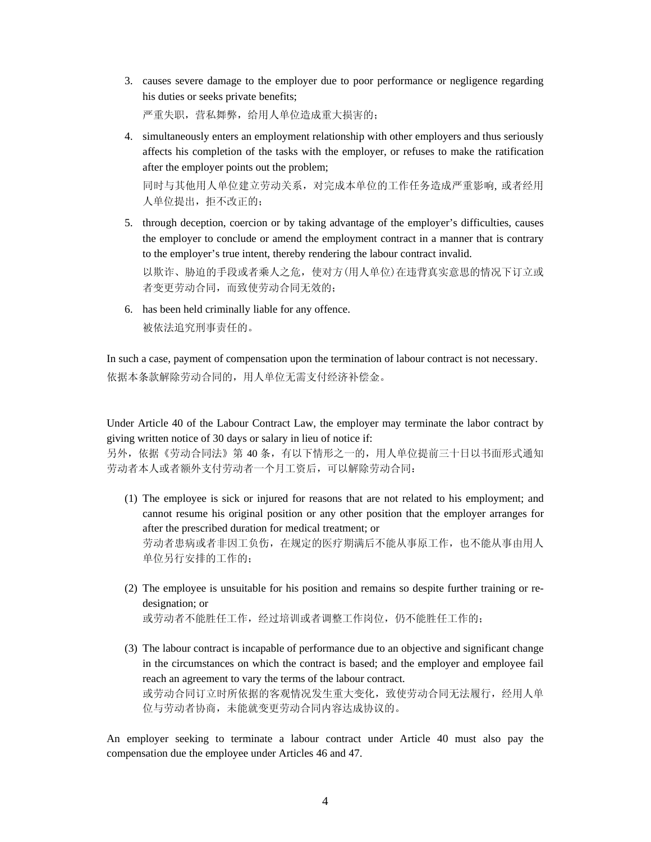3. causes severe damage to the employer due to poor performance or negligence regarding his duties or seeks private benefits;

严重失职,营私舞弊,给用人单位造成重大损害的;

4. simultaneously enters an employment relationship with other employers and thus seriously affects his completion of the tasks with the employer, or refuses to make the ratification after the employer points out the problem;

同时与其他用人单位建立劳动关系,对完成本单位的工作任务造成严重影响, 或者经用 人单位提出,拒不改正的;

- 5. through deception, coercion or by taking advantage of the employer's difficulties, causes the employer to conclude or amend the employment contract in a manner that is contrary to the employer's true intent, thereby rendering the labour contract invalid. 以欺诈、胁迫的手段或者乘人之危,使对方(用人单位)在违背真实意思的情况下订立或 者变更劳动合同,而致使劳动合同无效的;
- 6. has been held criminally liable for any offence. 被依法追究刑事责任的。

In such a case, payment of compensation upon the termination of labour contract is not necessary. 依据本条款解除劳动合同的,用人单位无需支付经济补偿金。

Under Article 40 of the Labour Contract Law, the employer may terminate the labor contract by giving written notice of 30 days or salary in lieu of notice if:

另外,依据《劳动合同法》第 40 条,有以下情形之一的,用人单位提前三十日以书面形式通知 劳动者本人或者额外支付劳动者一个月工资后,可以解除劳动合同:

- (1) The employee is sick or injured for reasons that are not related to his employment; and cannot resume his original position or any other position that the employer arranges for after the prescribed duration for medical treatment; or 劳动者患病或者非因工负伤,在规定的医疗期满后不能从事原工作,也不能从事由用人 单位另行安排的工作的;
- (2) The employee is unsuitable for his position and remains so despite further training or redesignation; or 或劳动者不能胜任工作,经过培训或者调整工作岗位,仍不能胜任工作的;
- (3) The labour contract is incapable of performance due to an objective and significant change in the circumstances on which the contract is based; and the employer and employee fail reach an agreement to vary the terms of the labour contract. 或劳动合同订立时所依据的客观情况发生重大变化,致使劳动合同无法履行,经用人单 位与劳动者协商,未能就变更劳动合同内容达成协议的。

An employer seeking to terminate a labour contract under Article 40 must also pay the compensation due the employee under Articles 46 and 47.